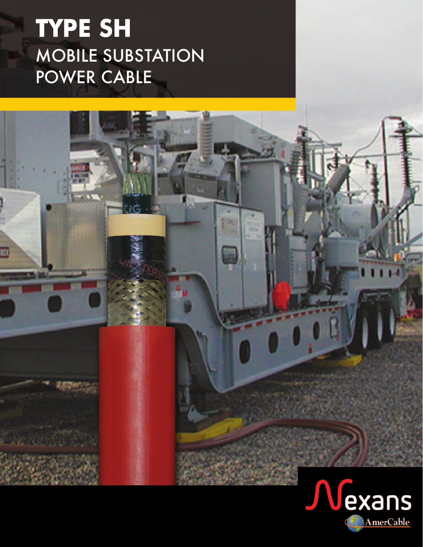# **TYPE SH** MOBILE SUBSTATION POWER CABLE

tad

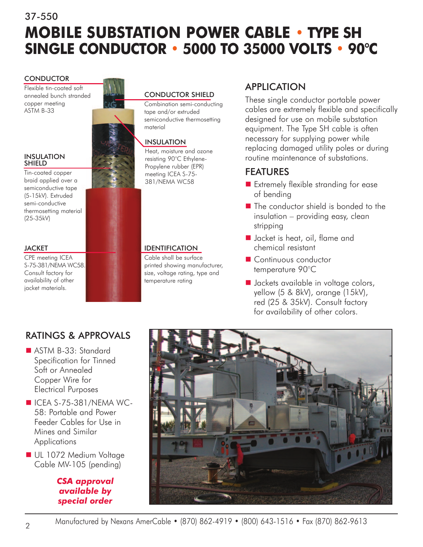## 37-550 **MOBILE SUBSTATION POWER CABLE • TYPE SH SINGLE CONDUCTOR • 5000 TO 35000 VOLTS • 90°C**

#### **CONDUCTOR**

Flexible tin-coated soft annealed bunch stranded copper meeting ASTM B-33



Tin-coated copper braid applied over a semiconductive tape (5-15kV). Extruded semi-conductive thermosetting material (25-35kV)

#### **JACKET**

CPE meeting ICEA S-75-381/NEMA WC58. Consult factory for availability of other jacket materials.

## CONDUCTOR SHIELD

Combination semi-conducting tape and/or extruded semiconductive thermosetting material

### INSULATION

Heat, moisture and ozone resisting 90°C Ethylene-Propylene rubber (EPR) meeting ICEA S-75- 381/NEMA WC58

### IDENTIFICATION

Cable shall be surface printed showing manufacturer, size, voltage rating, type and temperature rating

## APPLICATION

These single conductor portable power cables are extremely flexible and specifically designed for use on mobile substation equipment. The Type SH cable is often necessary for supplying power while replacing damaged utility poles or during routine maintenance of substations.

## FEATURES

- Extremely flexible stranding for ease of bending
- $\blacksquare$  The conductor shield is bonded to the insulation – providing easy, clean stripping
- Jacket is heat, oil, flame and chemical resistant
- Continuous conductor temperature 90°C
- Jackets available in voltage colors, yellow (5 & 8kV), orange (15kV), red (25 & 35kV). Consult factory for availability of other colors.

## RATINGS & APPROVALS

- ASTM B-33: Standard Specification for Tinned Soft or Annealed Copper Wire for Electrical Purposes
- $\blacksquare$  ICEA S-75-381/NEMA WC-58: Portable and Power Feeder Cables for Use in Mines and Similar **Applications**
- UL 1072 Medium Voltage Cable MV-105 (pending)

*CSA approval available by special order*

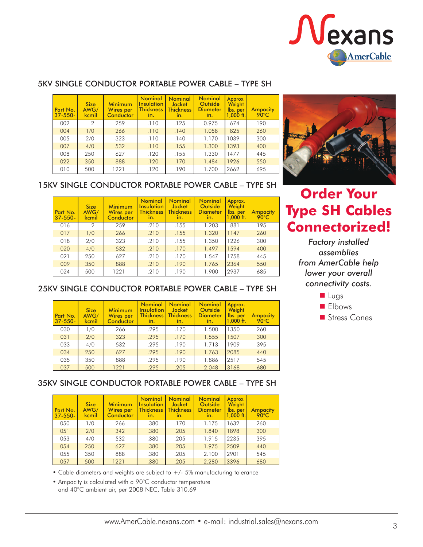

#### 5KV SINGLE CONDUCTOR PORTABLE POWER CABLE – TYPE SH

| Part No.<br>$37 - 550 -$ | <b>Size</b><br>AWG/<br>kcmil | <b>Minimum</b><br><b>Wires per</b><br>Conductor | <b>Nominal</b><br>Insulation<br><b>Thickness</b><br>In. | <b>Nominal</b><br><b>Jacket</b><br><b>Thickness</b><br>In. | <b>Nominal</b><br>Outside<br><b>Diameter</b><br>$\overline{\mathsf{m}}$ . | Approx.<br>Weight<br>lbs. per<br>$1,000$ ft. | Ampacity<br>90°C |
|--------------------------|------------------------------|-------------------------------------------------|---------------------------------------------------------|------------------------------------------------------------|---------------------------------------------------------------------------|----------------------------------------------|------------------|
| 002                      | 2                            | 259                                             | .110                                                    | .125                                                       | 0.975                                                                     | 674                                          | 190              |
| 004                      | 1/0                          | 266                                             | .110                                                    | .140                                                       | 1.058                                                                     | 825                                          | 260              |
| 005                      | 2/0                          | 323                                             | .110                                                    | .140                                                       | 1.170                                                                     | 1039                                         | 300              |
| 007                      | 4/0                          | 532                                             | .110                                                    | .155                                                       | 1.300                                                                     | 1393                                         | 400              |
| 008                      | 250                          | 627                                             | .120                                                    | .155                                                       | 1.330                                                                     | 1477                                         | 445              |
| 022                      | 350                          | 888                                             | .120                                                    | .170                                                       | 1.484                                                                     | 1926                                         | 550              |
| 010                      | 500                          | 1221                                            | .120                                                    | .190                                                       | 1.700                                                                     | 2662                                         | 695              |

## 15KV SINGLE CONDUCTOR PORTABLE POWER CABLE – TYPE SH

| Part No.<br>$37 - 550 -$ | <b>Size</b><br>AWG/<br>kcmil | <b>Minimum</b><br><b>Wires</b> per<br>Conductor | <b>Nominal</b><br>Insulation<br><b>Thickness</b><br>In. | <b>Nominal</b><br><b>Jacket</b><br><b>Thickness</b><br>In. | <b>Nominal</b><br>Outside<br><b>Diameter</b><br>In. | Approx.<br>Weight<br>lbs. per<br>$1.000$ ft. | <b>Ampacity</b><br>$90^{\circ}$ C |
|--------------------------|------------------------------|-------------------------------------------------|---------------------------------------------------------|------------------------------------------------------------|-----------------------------------------------------|----------------------------------------------|-----------------------------------|
| 016                      | $\overline{2}$               | 259                                             | .210                                                    | .155                                                       | 1.203                                               | 881                                          | 195                               |
| 017                      | 1/0                          | 266                                             | .210                                                    | .155                                                       | 1.320                                               | 1147                                         | 260                               |
| 018                      | 2/0                          | 323                                             | .210                                                    | .155                                                       | 1.350                                               | 1226                                         | 300                               |
| 020                      | 4/0                          | 532                                             | .210                                                    | .170                                                       | 1.497                                               | 1594                                         | 400                               |
| 021                      | 250                          | 627                                             | .210                                                    | .170                                                       | 1.547                                               | 1758                                         | 445                               |
| 009                      | 350                          | 888                                             | .210                                                    | .190                                                       | 1.765                                               | 2364                                         | 550                               |
| 024                      | 500                          | 1221                                            | .210                                                    | .190                                                       | 1.900                                               | 2937                                         | 685                               |



## **Order Your Type SH Cables Connectorized!**

*Factory installed assemblies from AmerCable help lower your overall connectivity costs.*



## 25KV SINGLE CONDUCTOR PORTABLE POWER CABLE – TYPE SH

| Part No.<br>$37 - 550 -$ | <b>Size</b><br>AWG/<br>kcmil | <b>Minimum</b><br>Wires per<br>Conductor | Nominal  <br><b>Insulation</b><br><b>Thickness</b><br>In. | <b>Nominal</b><br><b>Jacket</b><br><b>Thickness</b><br>In. | <b>Nominal</b><br>Outside<br><b>Diameter</b><br>In. | Approx.<br>Weight<br>Ibs. per<br>$1.000$ ft. | Ampacity<br>$90^{\circ}$ C |
|--------------------------|------------------------------|------------------------------------------|-----------------------------------------------------------|------------------------------------------------------------|-----------------------------------------------------|----------------------------------------------|----------------------------|
| 030                      | 1/0                          | 266                                      | .295                                                      | .170                                                       | 1.500                                               | 1350                                         | 260                        |
| 031                      | 2/0                          | 323                                      | .295                                                      | .170                                                       | 1.555                                               | 1507                                         | 300                        |
| 033                      | 4/0                          | 532                                      | .295                                                      | .190                                                       | 1.713                                               | 1909                                         | 395                        |
| 034                      | 250                          | 627                                      | .295                                                      | .190                                                       | 1.763                                               | 2085                                         | 440                        |
| 035                      | 350                          | 888                                      | .295                                                      | .190                                                       | 1.886                                               | 2517                                         | 545                        |
| 037                      | 500                          | 1221                                     | .295                                                      | .205                                                       | 2.048                                               | 3168                                         | 680                        |

## 35KV SINGLE CONDUCTOR PORTABLE POWER CABLE – TYPE SH

| Part No.<br>$37 - 550 -$ | <b>Size</b><br>AWG/<br>kcmil | Minimum<br>Wires per<br>Conductor | <b>Nominal</b><br><b>Insulation</b><br><b>Thickness</b><br>In. | <b>Nominal</b><br>Jacket<br><b>Thickness</b><br>In. | <b>Nominal</b><br>Outside<br><b>Diameter</b><br>In. | Approx.<br>Weight<br>lbs. per<br>$1,000$ ft. | Ampacity<br>$90^{\circ}$ C |
|--------------------------|------------------------------|-----------------------------------|----------------------------------------------------------------|-----------------------------------------------------|-----------------------------------------------------|----------------------------------------------|----------------------------|
| 050                      | 1/0                          | 266                               | .380                                                           | .170                                                | 1.175                                               | 1632                                         | 260                        |
| 051                      | 2/0                          | 342                               | .380                                                           | .205                                                | 1.840                                               | 1898                                         | 300                        |
| 053                      | 4/0                          | 532                               | .380                                                           | .205                                                | 1.915                                               | 2235                                         | 395                        |
| 054                      | 250                          | 627                               | .380                                                           | .205                                                | 1.975                                               | 2509                                         | 440                        |
| 055                      | 350                          | 888                               | .380                                                           | .205                                                | 2.100                                               | 2901                                         | 545                        |
| 057                      | 500                          | 1221                              | .380                                                           | .205                                                | 2.280                                               | 3396                                         | 680                        |

• Cable diameters and weights are subject to  $+/$ - 5% manufacturing tolerance

• Ampacity is calculated with a 90°C conductor temperature and 40°C ambient air, per 2008 NEC, Table 310.69